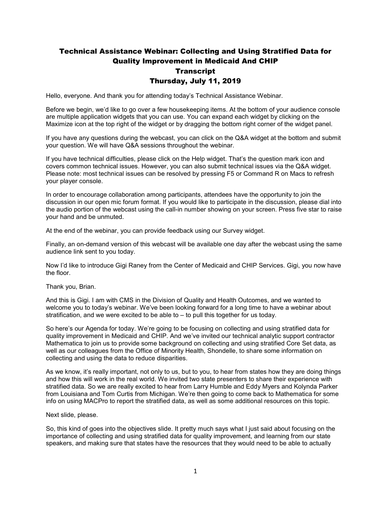# Technical Assistance Webinar: Collecting and Using Stratified Data for Quality Improvement in Medicaid And CHIP **Transcript** Thursday, July 11, 2019

Hello, everyone. And thank you for attending today's Technical Assistance Webinar.

Before we begin, we'd like to go over a few housekeeping items. At the bottom of your audience console are multiple application widgets that you can use. You can expand each widget by clicking on the Maximize icon at the top right of the widget or by dragging the bottom right corner of the widget panel.

If you have any questions during the webcast, you can click on the Q&A widget at the bottom and submit your question. We will have Q&A sessions throughout the webinar.

If you have technical difficulties, please click on the Help widget. That's the question mark icon and covers common technical issues. However, you can also submit technical issues via the Q&A widget. Please note: most technical issues can be resolved by pressing F5 or Command R on Macs to refresh your player console.

In order to encourage collaboration among participants, attendees have the opportunity to join the discussion in our open mic forum format. If you would like to participate in the discussion, please dial into the audio portion of the webcast using the call-in number showing on your screen. Press five star to raise your hand and be unmuted.

At the end of the webinar, you can provide feedback using our Survey widget.

Finally, an on-demand version of this webcast will be available one day after the webcast using the same audience link sent to you today.

Now I'd like to introduce Gigi Raney from the Center of Medicaid and CHIP Services. Gigi, you now have the floor.

Thank you, Brian.

And this is Gigi. I am with CMS in the Division of Quality and Health Outcomes, and we wanted to welcome you to today's webinar. We've been looking forward for a long time to have a webinar about stratification, and we were excited to be able to – to pull this together for us today.

So here's our Agenda for today. We're going to be focusing on collecting and using stratified data for quality improvement in Medicaid and CHIP. And we've invited our technical analytic support contractor Mathematica to join us to provide some background on collecting and using stratified Core Set data, as well as our colleagues from the Office of Minority Health, Shondelle, to share some information on collecting and using the data to reduce disparities.

As we know, it's really important, not only to us, but to you, to hear from states how they are doing things and how this will work in the real world. We invited two state presenters to share their experience with stratified data. So we are really excited to hear from Larry Humble and Eddy Myers and Kolynda Parker from Louisiana and Tom Curtis from Michigan. We're then going to come back to Mathematica for some info on using MACPro to report the stratified data, as well as some additional resources on this topic.

#### Next slide, please.

So, this kind of goes into the objectives slide. It pretty much says what I just said about focusing on the importance of collecting and using stratified data for quality improvement, and learning from our state speakers, and making sure that states have the resources that they would need to be able to actually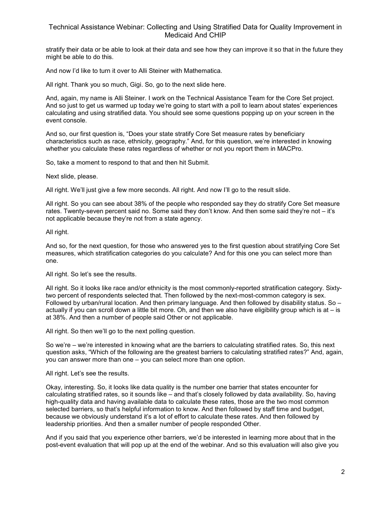stratify their data or be able to look at their data and see how they can improve it so that in the future they might be able to do this.

And now I'd like to turn it over to Alli Steiner with Mathematica.

All right. Thank you so much, Gigi. So, go to the next slide here.

And, again, my name is Alli Steiner. I work on the Technical Assistance Team for the Core Set project. And so just to get us warmed up today we're going to start with a poll to learn about states' experiences calculating and using stratified data. You should see some questions popping up on your screen in the event console.

And so, our first question is, "Does your state stratify Core Set measure rates by beneficiary characteristics such as race, ethnicity, geography." And, for this question, we're interested in knowing whether you calculate these rates regardless of whether or not you report them in MACPro.

So, take a moment to respond to that and then hit Submit.

Next slide, please.

All right. We'll just give a few more seconds. All right. And now I'll go to the result slide.

All right. So you can see about 38% of the people who responded say they do stratify Core Set measure rates. Twenty-seven percent said no. Some said they don't know. And then some said they're not – it's not applicable because they're not from a state agency.

All right.

And so, for the next question, for those who answered yes to the first question about stratifying Core Set measures, which stratification categories do you calculate? And for this one you can select more than one.

All right. So let's see the results.

All right. So it looks like race and/or ethnicity is the most commonly-reported stratification category. Sixtytwo percent of respondents selected that. Then followed by the next-most-common category is sex. Followed by urban/rural location. And then primary language. And then followed by disability status. So – actually if you can scroll down a little bit more. Oh, and then we also have eligibility group which is at  $-$  is at 38%. And then a number of people said Other or not applicable.

All right. So then we'll go to the next polling question.

So we're – we're interested in knowing what are the barriers to calculating stratified rates. So, this next question asks, "Which of the following are the greatest barriers to calculating stratified rates?" And, again, you can answer more than one – you can select more than one option.

All right. Let's see the results.

Okay, interesting. So, it looks like data quality is the number one barrier that states encounter for calculating stratified rates, so it sounds like – and that's closely followed by data availability. So, having high-quality data and having available data to calculate these rates, those are the two most common selected barriers, so that's helpful information to know. And then followed by staff time and budget, because we obviously understand it's a lot of effort to calculate these rates. And then followed by leadership priorities. And then a smaller number of people responded Other.

And if you said that you experience other barriers, we'd be interested in learning more about that in the post-event evaluation that will pop up at the end of the webinar. And so this evaluation will also give you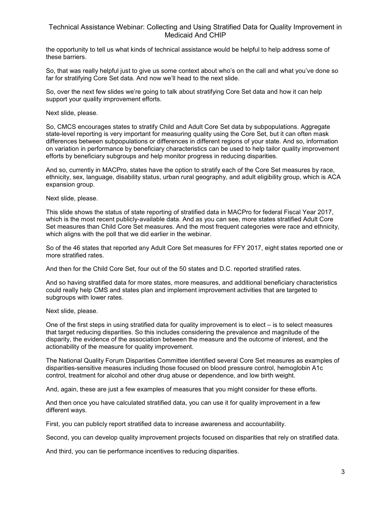the opportunity to tell us what kinds of technical assistance would be helpful to help address some of these barriers.

So, that was really helpful just to give us some context about who's on the call and what you've done so far for stratifying Core Set data. And now we'll head to the next slide.

So, over the next few slides we're going to talk about stratifying Core Set data and how it can help support your quality improvement efforts.

#### Next slide, please.

So, CMCS encourages states to stratify Child and Adult Core Set data by subpopulations. Aggregate state-level reporting is very important for measuring quality using the Core Set, but it can often mask differences between subpopulations or differences in different regions of your state. And so, information on variation in performance by beneficiary characteristics can be used to help tailor quality improvement efforts by beneficiary subgroups and help monitor progress in reducing disparities.

And so, currently in MACPro, states have the option to stratify each of the Core Set measures by race, ethnicity, sex, language, disability status, urban rural geography, and adult eligibility group, which is ACA expansion group.

#### Next slide, please.

This slide shows the status of state reporting of stratified data in MACPro for federal Fiscal Year 2017, which is the most recent publicly-available data. And as you can see, more states stratified Adult Core Set measures than Child Core Set measures. And the most frequent categories were race and ethnicity, which aligns with the poll that we did earlier in the webinar.

So of the 46 states that reported any Adult Core Set measures for FFY 2017, eight states reported one or more stratified rates.

And then for the Child Core Set, four out of the 50 states and D.C. reported stratified rates.

And so having stratified data for more states, more measures, and additional beneficiary characteristics could really help CMS and states plan and implement improvement activities that are targeted to subgroups with lower rates.

#### Next slide, please.

One of the first steps in using stratified data for quality improvement is to elect – is to select measures that target reducing disparities. So this includes considering the prevalence and magnitude of the disparity, the evidence of the association between the measure and the outcome of interest, and the actionability of the measure for quality improvement.

The National Quality Forum Disparities Committee identified several Core Set measures as examples of disparities-sensitive measures including those focused on blood pressure control, hemoglobin A1c control, treatment for alcohol and other drug abuse or dependence, and low birth weight.

And, again, these are just a few examples of measures that you might consider for these efforts.

And then once you have calculated stratified data, you can use it for quality improvement in a few different ways.

First, you can publicly report stratified data to increase awareness and accountability.

Second, you can develop quality improvement projects focused on disparities that rely on stratified data.

And third, you can tie performance incentives to reducing disparities.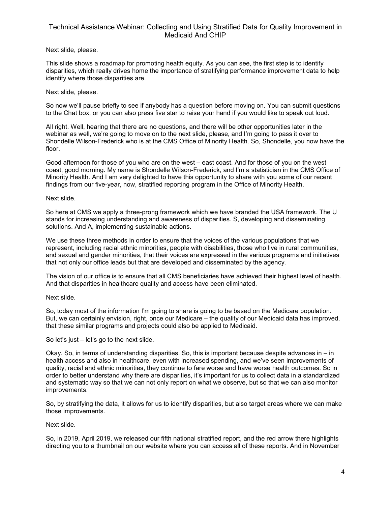## Next slide, please.

This slide shows a roadmap for promoting health equity. As you can see, the first step is to identify disparities, which really drives home the importance of stratifying performance improvement data to help identify where those disparities are.

## Next slide, please.

So now we'll pause briefly to see if anybody has a question before moving on. You can submit questions to the Chat box, or you can also press five star to raise your hand if you would like to speak out loud.

All right. Well, hearing that there are no questions, and there will be other opportunities later in the webinar as well, we're going to move on to the next slide, please, and I'm going to pass it over to Shondelle Wilson-Frederick who is at the CMS Office of Minority Health. So, Shondelle, you now have the floor.

Good afternoon for those of you who are on the west – east coast. And for those of you on the west coast, good morning. My name is Shondelle Wilson-Frederick, and I'm a statistician in the CMS Office of Minority Health. And I am very delighted to have this opportunity to share with you some of our recent findings from our five-year, now, stratified reporting program in the Office of Minority Health.

## Next slide.

So here at CMS we apply a three-prong framework which we have branded the USA framework. The U stands for increasing understanding and awareness of disparities. S, developing and disseminating solutions. And A, implementing sustainable actions.

We use these three methods in order to ensure that the voices of the various populations that we represent, including racial ethnic minorities, people with disabilities, those who live in rural communities, and sexual and gender minorities, that their voices are expressed in the various programs and initiatives that not only our office leads but that are developed and disseminated by the agency.

The vision of our office is to ensure that all CMS beneficiaries have achieved their highest level of health. And that disparities in healthcare quality and access have been eliminated.

## Next slide.

So, today most of the information I'm going to share is going to be based on the Medicare population. But, we can certainly envision, right, once our Medicare – the quality of our Medicaid data has improved, that these similar programs and projects could also be applied to Medicaid.

So let's just – let's go to the next slide.

Okay. So, in terms of understanding disparities. So, this is important because despite advances in – in health access and also in healthcare, even with increased spending, and we've seen improvements of quality, racial and ethnic minorities, they continue to fare worse and have worse health outcomes. So in order to better understand why there are disparities, it's important for us to collect data in a standardized and systematic way so that we can not only report on what we observe, but so that we can also monitor improvements.

So, by stratifying the data, it allows for us to identify disparities, but also target areas where we can make those improvements.

## Next slide.

So, in 2019, April 2019, we released our fifth national stratified report, and the red arrow there highlights directing you to a thumbnail on our website where you can access all of these reports. And in November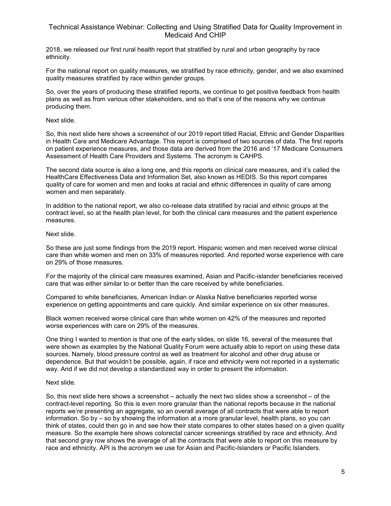2018, we released our first rural health report that stratified by rural and urban geography by race ethnicity.

For the national report on quality measures, we stratified by race ethnicity, gender, and we also examined quality measures stratified by race within gender groups.

So, over the years of producing these stratified reports, we continue to get positive feedback from health plans as well as from various other stakeholders, and so that's one of the reasons why we continue producing them.

Next slide.

So, this next slide here shows a screenshot of our 2019 report titled Racial, Ethnic and Gender Disparities in Health Care and Medicare Advantage. This report is comprised of two sources of data. The first reports on patient experience measures, and those data are derived from the 2016 and '17 Medicare Consumers Assessment of Health Care Providers and Systems. The acronym is CAHPS.

The second data source is also a long one, and this reports on clinical care measures, and it's called the HealthCare Effectiveness Data and Information Set, also known as HEDIS. So this report compares quality of care for women and men and looks at racial and ethnic differences in quality of care among women and men separately.

In addition to the national report, we also co-release data stratified by racial and ethnic groups at the contract level, so at the health plan level, for both the clinical care measures and the patient experience measures.

## Next slide.

So these are just some findings from the 2019 report. Hispanic women and men received worse clinical care than white women and men on 33% of measures reported. And reported worse experience with care on 29% of those measures.

For the majority of the clinical care measures examined, Asian and Pacific-islander beneficiaries received care that was either similar to or better than the care received by white beneficiaries.

Compared to white beneficiaries, American Indian or Alaska Native beneficiaries reported worse experience on getting appointments and care quickly. And similar experience on six other measures.

Black women received worse clinical care than white women on 42% of the measures and reported worse experiences with care on 29% of the measures.

One thing I wanted to mention is that one of the early slides, on slide 16, several of the measures that were shown as examples by the National Quality Forum were actually able to report on using these data sources. Namely, blood pressure control as well as treatment for alcohol and other drug abuse or dependence. But that wouldn't be possible, again, if race and ethnicity were not reported in a systematic way. And if we did not develop a standardized way in order to present the information.

#### Next slide.

So, this next slide here shows a screenshot – actually the next two slides show a screenshot – of the contract-level reporting. So this is even more granular than the national reports because in the national reports we're presenting an aggregate, so an overall average of all contracts that were able to report information. So by – so by showing the information at a more granular level, health plans, so you can think of states, could then go in and see how their state compares to other states based on a given quality measure. So the example here shows colorectal cancer screenings stratified by race and ethnicity. And that second gray row shows the average of all the contracts that were able to report on this measure by race and ethnicity. API is the acronym we use for Asian and Pacific-Islanders or Pacific Islanders.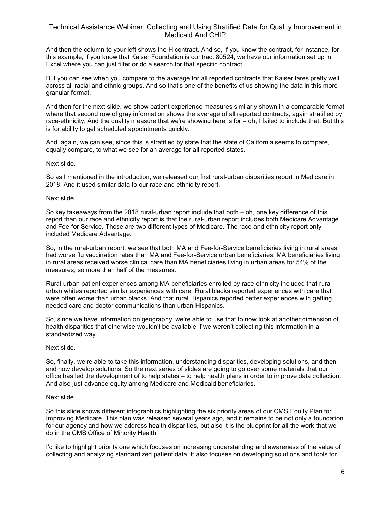And then the column to your left shows the H contract. And so, if you know the contract, for instance, for this example, if you know that Kaiser Foundation is contract 80524, we have our information set up in Excel where you can just filter or do a search for that specific contract.

But you can see when you compare to the average for all reported contracts that Kaiser fares pretty well across all racial and ethnic groups. And so that's one of the benefits of us showing the data in this more granular format.

And then for the next slide, we show patient experience measures similarly shown in a comparable format where that second row of gray information shows the average of all reported contracts, again stratified by race-ethnicity. And the quality measure that we're showing here is for – oh, I failed to include that. But this is for ability to get scheduled appointments quickly.

And, again, we can see, since this is stratified by state,that the state of California seems to compare, equally compare, to what we see for an average for all reported states.

Next slide.

So as I mentioned in the introduction, we released our first rural-urban disparities report in Medicare in 2018. And it used similar data to our race and ethnicity report.

#### Next slide.

So key takeaways from the 2018 rural-urban report include that both – oh, one key difference of this report than our race and ethnicity report is that the rural-urban report includes both Medicare Advantage and Fee-for Service. Those are two different types of Medicare. The race and ethnicity report only included Medicare Advantage.

So, in the rural-urban report, we see that both MA and Fee-for-Service beneficiaries living in rural areas had worse flu vaccination rates than MA and Fee-for-Service urban beneficiaries. MA beneficiaries living in rural areas received worse clinical care than MA beneficiaries living in urban areas for 54% of the measures, so more than half of the measures.

Rural-urban patient experiences among MA beneficiaries enrolled by race ethnicity included that ruralurban whites reported similar experiences with care. Rural blacks reported experiences with care that were often worse than urban blacks. And that rural Hispanics reported better experiences with getting needed care and doctor communications than urban Hispanics.

So, since we have information on geography, we're able to use that to now look at another dimension of health disparities that otherwise wouldn't be available if we weren't collecting this information in a standardized way.

#### Next slide.

So, finally, we're able to take this information, understanding disparities, developing solutions, and then – and now develop solutions. So the next series of slides are going to go over some materials that our office has led the development of to help states – to help health plans in order to improve data collection. And also just advance equity among Medicare and Medicaid beneficiaries.

#### Next slide.

So this slide shows different infographics highlighting the six priority areas of our CMS Equity Plan for Improving Medicare. This plan was released several years ago, and it remains to be not only a foundation for our agency and how we address health disparities, but also it is the blueprint for all the work that we do in the CMS Office of Minority Health.

I'd like to highlight priority one which focuses on increasing understanding and awareness of the value of collecting and analyzing standardized patient data. It also focuses on developing solutions and tools for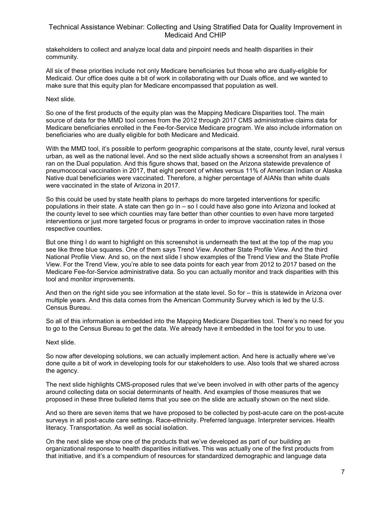stakeholders to collect and analyze local data and pinpoint needs and health disparities in their community.

All six of these priorities include not only Medicare beneficiaries but those who are dually-eligible for Medicaid. Our office does quite a bit of work in collaborating with our Duals office, and we wanted to make sure that this equity plan for Medicare encompassed that population as well.

#### Next slide.

So one of the first products of the equity plan was the Mapping Medicare Disparities tool. The main source of data for the MMD tool comes from the 2012 through 2017 CMS administrative claims data for Medicare beneficiaries enrolled in the Fee-for-Service Medicare program. We also include information on beneficiaries who are dually eligible for both Medicare and Medicaid.

With the MMD tool, it's possible to perform geographic comparisons at the state, county level, rural versus urban, as well as the national level. And so the next slide actually shows a screenshot from an analyses I ran on the Dual population. And this figure shows that, based on the Arizona statewide prevalence of pneumococcal vaccination in 2017, that eight percent of whites versus 11% of American Indian or Alaska Native dual beneficiaries were vaccinated. Therefore, a higher percentage of AIANs than white duals were vaccinated in the state of Arizona in 2017.

So this could be used by state health plans to perhaps do more targeted interventions for specific populations in their state. A state can then go in – so I could have also gone into Arizona and looked at the county level to see which counties may fare better than other counties to even have more targeted interventions or just more targeted focus or programs in order to improve vaccination rates in those respective counties.

But one thing I do want to highlight on this screenshot is underneath the text at the top of the map you see like three blue squares. One of them says Trend View. Another State Profile View. And the third National Profile View. And so, on the next slide I show examples of the Trend View and the State Profile View. For the Trend View, you're able to see data points for each year from 2012 to 2017 based on the Medicare Fee-for-Service administrative data. So you can actually monitor and track disparities with this tool and monitor improvements.

And then on the right side you see information at the state level. So for – this is statewide in Arizona over multiple years. And this data comes from the American Community Survey which is led by the U.S. Census Bureau.

So all of this information is embedded into the Mapping Medicare Disparities tool. There's no need for you to go to the Census Bureau to get the data. We already have it embedded in the tool for you to use.

#### Next slide.

So now after developing solutions, we can actually implement action. And here is actually where we've done quite a bit of work in developing tools for our stakeholders to use. Also tools that we shared across the agency.

The next slide highlights CMS-proposed rules that we've been involved in with other parts of the agency around collecting data on social determinants of health. And examples of those measures that we proposed in these three bulleted items that you see on the slide are actually shown on the next slide.

And so there are seven items that we have proposed to be collected by post-acute care on the post-acute surveys in all post-acute care settings. Race-ethnicity. Preferred language. Interpreter services. Health literacy. Transportation. As well as social isolation.

On the next slide we show one of the products that we've developed as part of our building an organizational response to health disparities initiatives. This was actually one of the first products from that initiative, and it's a compendium of resources for standardized demographic and language data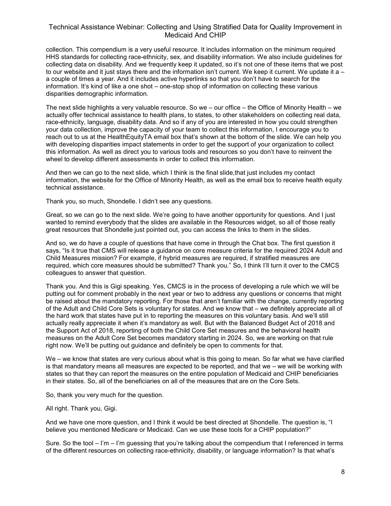collection. This compendium is a very useful resource. It includes information on the minimum required HHS standards for collecting race-ethnicity, sex, and disability information. We also include guidelines for collecting data on disability. And we frequently keep it updated, so it's not one of these items that we post to our website and it just stays there and the information isn't current. We keep it current. We update it a – a couple of times a year. And it includes active hyperlinks so that you don't have to search for the information. It's kind of like a one shot – one-stop shop of information on collecting these various disparities demographic information.

The next slide highlights a very valuable resource. So we – our office – the Office of Minority Health – we actually offer technical assistance to health plans, to states, to other stakeholders on collecting real data, race-ethnicity, language, disability data. And so if any of you are interested in how you could strengthen your data collection, improve the capacity of your team to collect this information, I encourage you to reach out to us at the HealthEquityTA email box that's shown at the bottom of the slide. We can help you with developing disparities impact statements in order to get the support of your organization to collect this information. As well as direct you to various tools and resources so you don't have to reinvent the wheel to develop different assessments in order to collect this information.

And then we can go to the next slide, which I think is the final slide,that just includes my contact information, the website for the Office of Minority Health, as well as the email box to receive health equity technical assistance.

Thank you, so much, Shondelle. I didn't see any questions.

Great, so we can go to the next slide. We're going to have another opportunity for questions. And I just wanted to remind everybody that the slides are available in the Resources widget, so all of those really great resources that Shondelle just pointed out, you can access the links to them in the slides.

And so, we do have a couple of questions that have come in through the Chat box. The first question it says, "Is it true that CMS will release a guidance on core measure criteria for the required 2024 Adult and Child Measures mission? For example, if hybrid measures are required, if stratified measures are required, which core measures should be submitted? Thank you." So, I think I'll turn it over to the CMCS colleagues to answer that question.

Thank you. And this is Gigi speaking. Yes, CMCS is in the process of developing a rule which we will be putting out for comment probably in the next year or two to address any questions or concerns that might be raised about the mandatory reporting. For those that aren't familiar with the change, currently reporting of the Adult and Child Core Sets is voluntary for states. And we know that – we definitely appreciate all of the hard work that states have put in to reporting the measures on this voluntary basis. And we'll still actually really appreciate it when it's mandatory as well. But with the Balanced Budget Act of 2018 and the Support Act of 2018, reporting of both the Child Core Set measures and the behavioral health measures on the Adult Core Set becomes mandatory starting in 2024. So, we are working on that rule right now. We'll be putting out guidance and definitely be open to comments for that.

We – we know that states are very curious about what is this going to mean. So far what we have clarified is that mandatory means all measures are expected to be reported, and that we – we will be working with states so that they can report the measures on the entire population of Medicaid and CHIP beneficiaries in their states. So, all of the beneficiaries on all of the measures that are on the Core Sets.

So, thank you very much for the question.

All right. Thank you, Gigi.

And we have one more question, and I think it would be best directed at Shondelle. The question is, "I believe you mentioned Medicare or Medicaid. Can we use these tools for a CHIP population?"

Sure. So the tool – I'm – I'm guessing that you're talking about the compendium that I referenced in terms of the different resources on collecting race-ethnicity, disability, or language information? Is that what's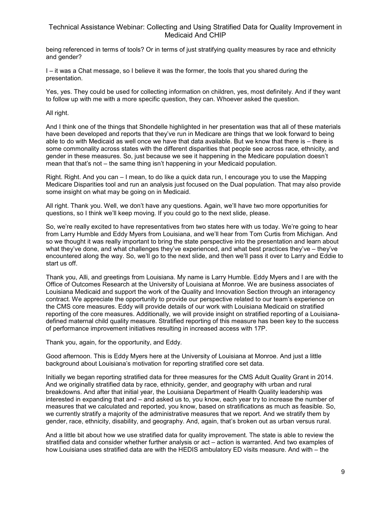being referenced in terms of tools? Or in terms of just stratifying quality measures by race and ethnicity and gender?

I – it was a Chat message, so I believe it was the former, the tools that you shared during the presentation.

Yes, yes. They could be used for collecting information on children, yes, most definitely. And if they want to follow up with me with a more specific question, they can. Whoever asked the question.

All right.

And I think one of the things that Shondelle highlighted in her presentation was that all of these materials have been developed and reports that they've run in Medicare are things that we look forward to being able to do with Medicaid as well once we have that data available. But we know that there is – there is some commonality across states with the different disparities that people see across race, ethnicity, and gender in these measures. So, just because we see it happening in the Medicare population doesn't mean that that's not – the same thing isn't happening in your Medicaid population.

Right. Right. And you can – I mean, to do like a quick data run, I encourage you to use the Mapping Medicare Disparities tool and run an analysis just focused on the Dual population. That may also provide some insight on what may be going on in Medicaid.

All right. Thank you. Well, we don't have any questions. Again, we'll have two more opportunities for questions, so I think we'll keep moving. If you could go to the next slide, please.

So, we're really excited to have representatives from two states here with us today. We're going to hear from Larry Humble and Eddy Myers from Louisiana, and we'll hear from Tom Curtis from Michigan. And so we thought it was really important to bring the state perspective into the presentation and learn about what they've done, and what challenges they've experienced, and what best practices they've – they've encountered along the way. So, we'll go to the next slide, and then we'll pass it over to Larry and Eddie to start us off.

Thank you, Alli, and greetings from Louisiana. My name is Larry Humble. Eddy Myers and I are with the Office of Outcomes Research at the University of Louisiana at Monroe. We are business associates of Louisiana Medicaid and support the work of the Quality and Innovation Section through an interagency contract. We appreciate the opportunity to provide our perspective related to our team's experience on the CMS core measures. Eddy will provide details of our work with Louisiana Medicaid on stratified reporting of the core measures. Additionally, we will provide insight on stratified reporting of a Louisianadefined maternal child quality measure. Stratified reporting of this measure has been key to the success of performance improvement initiatives resulting in increased access with 17P.

Thank you, again, for the opportunity, and Eddy.

Good afternoon. This is Eddy Myers here at the University of Louisiana at Monroe. And just a little background about Louisiana's motivation for reporting stratified core set data.

Initially we began reporting stratified data for three measures for the CMS Adult Quality Grant in 2014. And we originally stratified data by race, ethnicity, gender, and geography with urban and rural breakdowns. And after that initial year, the Louisiana Department of Health Quality leadership was interested in expanding that and – and asked us to, you know, each year try to increase the number of measures that we calculated and reported, you know, based on stratifications as much as feasible. So, we currently stratify a majority of the administrative measures that we report. And we stratify them by gender, race, ethnicity, disability, and geography. And, again, that's broken out as urban versus rural.

And a little bit about how we use stratified data for quality improvement. The state is able to review the stratified data and consider whether further analysis or act – action is warranted. And two examples of how Louisiana uses stratified data are with the HEDIS ambulatory ED visits measure. And with – the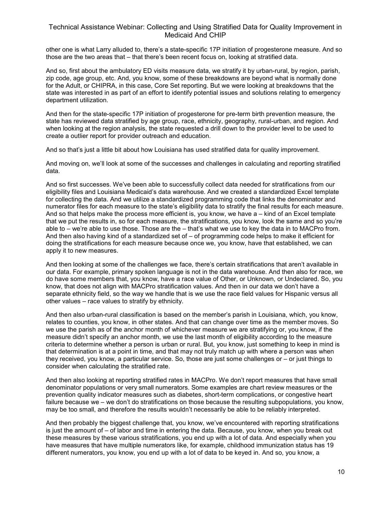other one is what Larry alluded to, there's a state-specific 17P initiation of progesterone measure. And so those are the two areas that – that there's been recent focus on, looking at stratified data.

And so, first about the ambulatory ED visits measure data, we stratify it by urban-rural, by region, parish, zip code, age group, etc. And, you know, some of these breakdowns are beyond what is normally done for the Adult, or CHIPRA, in this case, Core Set reporting. But we were looking at breakdowns that the state was interested in as part of an effort to identify potential issues and solutions relating to emergency department utilization.

And then for the state-specific 17P initiation of progesterone for pre-term birth prevention measure, the state has reviewed data stratified by age group, race, ethnicity, geography, rural-urban, and region. And when looking at the region analysis, the state requested a drill down to the provider level to be used to create a outlier report for provider outreach and education.

And so that's just a little bit about how Louisiana has used stratified data for quality improvement.

And moving on, we'll look at some of the successes and challenges in calculating and reporting stratified data.

And so first successes. We've been able to successfully collect data needed for stratifications from our eligibility files and Louisiana Medicaid's data warehouse. And we created a standardized Excel template for collecting the data. And we utilize a standardized programming code that links the denominator and numerator files for each measure to the state's eligibility data to stratify the final results for each measure. And so that helps make the process more efficient is, you know, we have a – kind of an Excel template that we put the results in, so for each measure, the stratifications, you know, look the same and so you're able to – we're able to use those. Those are the – that's what we use to key the data in to MACPro from. And then also having kind of a standardized set of – of programming code helps to make it efficient for doing the stratifications for each measure because once we, you know, have that established, we can apply it to new measures.

And then looking at some of the challenges we face, there's certain stratifications that aren't available in our data. For example, primary spoken language is not in the data warehouse. And then also for race, we do have some members that, you know, have a race value of Other, or Unknown, or Undeclared. So, you know, that does not align with MACPro stratification values. And then in our data we don't have a separate ethnicity field, so the way we handle that is we use the race field values for Hispanic versus all other values – race values to stratify by ethnicity.

And then also urban-rural classification is based on the member's parish in Louisiana, which, you know, relates to counties, you know, in other states. And that can change over time as the member moves. So we use the parish as of the anchor month of whichever measure we are stratifying or, you know, if the measure didn't specify an anchor month, we use the last month of eligibility according to the measure criteria to determine whether a person is urban or rural. But, you know, just something to keep in mind is that determination is at a point in time, and that may not truly match up with where a person was when they received, you know, a particular service. So, those are just some challenges or – or just things to consider when calculating the stratified rate.

And then also looking at reporting stratified rates in MACPro. We don't report measures that have small denominator populations or very small numerators. Some examples are chart review measures or the prevention quality indicator measures such as diabetes, short-term complications, or congestive heart failure because we – we don't do stratifications on those because the resulting subpopulations, you know, may be too small, and therefore the results wouldn't necessarily be able to be reliably interpreted.

And then probably the biggest challenge that, you know, we've encountered with reporting stratifications is just the amount of – of labor and time in entering the data. Because, you know, when you break out these measures by these various stratifications, you end up with a lot of data. And especially when you have measures that have multiple numerators like, for example, childhood immunization status has 19 different numerators, you know, you end up with a lot of data to be keyed in. And so, you know, a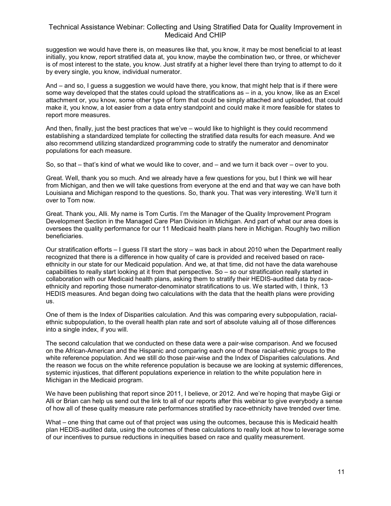suggestion we would have there is, on measures like that, you know, it may be most beneficial to at least initially, you know, report stratified data at, you know, maybe the combination two, or three, or whichever is of most interest to the state, you know. Just stratify at a higher level there than trying to attempt to do it by every single, you know, individual numerator.

And – and so, I guess a suggestion we would have there, you know, that might help that is if there were some way developed that the states could upload the stratifications as – in a, you know, like as an Excel attachment or, you know, some other type of form that could be simply attached and uploaded, that could make it, you know, a lot easier from a data entry standpoint and could make it more feasible for states to report more measures.

And then, finally, just the best practices that we've – would like to highlight is they could recommend establishing a standardized template for collecting the stratified data results for each measure. And we also recommend utilizing standardized programming code to stratify the numerator and denominator populations for each measure.

So, so that – that's kind of what we would like to cover, and – and we turn it back over – over to you.

Great. Well, thank you so much. And we already have a few questions for you, but I think we will hear from Michigan, and then we will take questions from everyone at the end and that way we can have both Louisiana and Michigan respond to the questions. So, thank you. That was very interesting. We'll turn it over to Tom now.

Great. Thank you, Alli. My name is Tom Curtis. I'm the Manager of the Quality Improvement Program Development Section in the Managed Care Plan Division in Michigan. And part of what our area does is oversees the quality performance for our 11 Medicaid health plans here in Michigan. Roughly two million beneficiaries.

Our stratification efforts – I guess I'll start the story – was back in about 2010 when the Department really recognized that there is a difference in how quality of care is provided and received based on raceethnicity in our state for our Medicaid population. And we, at that time, did not have the data warehouse capabilities to really start looking at it from that perspective. So – so our stratification really started in collaboration with our Medicaid health plans, asking them to stratify their HEDIS-audited data by raceethnicity and reporting those numerator-denominator stratifications to us. We started with, I think, 13 HEDIS measures. And began doing two calculations with the data that the health plans were providing us.

One of them is the Index of Disparities calculation. And this was comparing every subpopulation, racialethnic subpopulation, to the overall health plan rate and sort of absolute valuing all of those differences into a single index, if you will.

The second calculation that we conducted on these data were a pair-wise comparison. And we focused on the African-American and the Hispanic and comparing each one of those racial-ethnic groups to the white reference population. And we still do those pair-wise and the Index of Disparities calculations. And the reason we focus on the white reference population is because we are looking at systemic differences, systemic injustices, that different populations experience in relation to the white population here in Michigan in the Medicaid program.

We have been publishing that report since 2011, I believe, or 2012. And we're hoping that maybe Gigi or Alli or Brian can help us send out the link to all of our reports after this webinar to give everybody a sense of how all of these quality measure rate performances stratified by race-ethnicity have trended over time.

What – one thing that came out of that project was using the outcomes, because this is Medicaid health plan HEDIS-audited data, using the outcomes of these calculations to really look at how to leverage some of our incentives to pursue reductions in inequities based on race and quality measurement.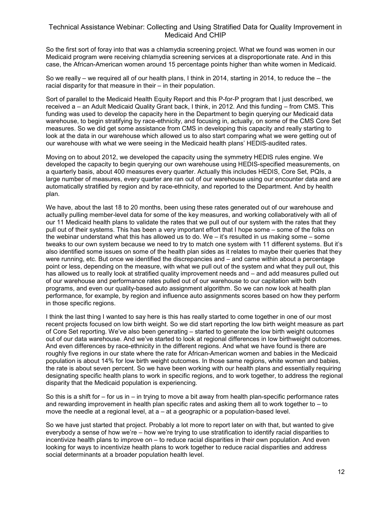So the first sort of foray into that was a chlamydia screening project. What we found was women in our Medicaid program were receiving chlamydia screening services at a disproportionate rate. And in this case, the African-American women around 15 percentage points higher than white women in Medicaid.

So we really – we required all of our health plans, I think in 2014, starting in 2014, to reduce the – the racial disparity for that measure in their – in their population.

Sort of parallel to the Medicaid Health Equity Report and this P-for-P program that I just described, we received a – an Adult Medicaid Quality Grant back, I think, in 2012. And this funding – from CMS. This funding was used to develop the capacity here in the Department to begin querying our Medicaid data warehouse, to begin stratifying by race-ethnicity, and focusing in, actually, on some of the CMS Core Set measures. So we did get some assistance from CMS in developing this capacity and really starting to look at the data in our warehouse which allowed us to also start comparing what we were getting out of our warehouse with what we were seeing in the Medicaid health plans' HEDIS-audited rates.

Moving on to about 2012, we developed the capacity using the symmetry HEDIS rules engine. We developed the capacity to begin querying our own warehouse using HEDIS-specified measurements, on a quarterly basis, about 400 measures every quarter. Actually this includes HEDIS, Core Set, PQIs, a large number of measures, every quarter are ran out of our warehouse using our encounter data and are automatically stratified by region and by race-ethnicity, and reported to the Department. And by health plan.

We have, about the last 18 to 20 months, been using these rates generated out of our warehouse and actually pulling member-level data for some of the key measures, and working collaboratively with all of our 11 Medicaid health plans to validate the rates that we pull out of our system with the rates that they pull out of their systems. This has been a very important effort that I hope some – some of the folks on the webinar understand what this has allowed us to do. We – it's resulted in us making some – some tweaks to our own system because we need to try to match one system with 11 different systems. But it's also identified some issues on some of the health plan sides as it relates to maybe their queries that they were running, etc. But once we identified the discrepancies and – and came within about a percentage point or less, depending on the measure, with what we pull out of the system and what they pull out, this has allowed us to really look at stratified quality improvement needs and – and add measures pulled out of our warehouse and performance rates pulled out of our warehouse to our capitation with both programs, and even our quality-based auto assignment algorithm. So we can now look at health plan performance, for example, by region and influence auto assignments scores based on how they perform in those specific regions.

I think the last thing I wanted to say here is this has really started to come together in one of our most recent projects focused on low birth weight. So we did start reporting the low birth weight measure as part of Core Set reporting. We've also been generating – started to generate the low birth weight outcomes out of our data warehouse. And we've started to look at regional differences in low birthweight outcomes. And even differences by race-ethnicity in the different regions. And what we have found is there are roughly five regions in our state where the rate for African-American women and babies in the Medicaid population is about 14% for low birth weight outcomes. In those same regions, white women and babies, the rate is about seven percent. So we have been working with our health plans and essentially requiring designating specific health plans to work in specific regions, and to work together, to address the regional disparity that the Medicaid population is experiencing.

So this is a shift for – for us in – in trying to move a bit away from health plan-specific performance rates and rewarding improvement in health plan specific rates and asking them all to work together to – to move the needle at a regional level, at a – at a geographic or a population-based level.

So we have just started that project. Probably a lot more to report later on with that, but wanted to give everybody a sense of how we're – how we're trying to use stratification to identify racial disparities to incentivize health plans to improve on – to reduce racial disparities in their own population. And even looking for ways to incentivize health plans to work together to reduce racial disparities and address social determinants at a broader population health level.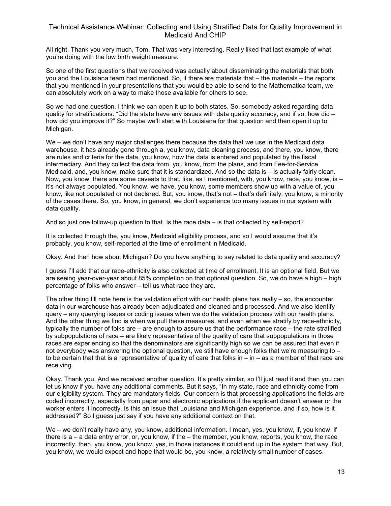All right. Thank you very much, Tom. That was very interesting. Really liked that last example of what you're doing with the low birth weight measure.

So one of the first questions that we received was actually about disseminating the materials that both you and the Louisiana team had mentioned. So, if there are materials that – the materials – the reports that you mentioned in your presentations that you would be able to send to the Mathematica team, we can absolutely work on a way to make those available for others to see.

So we had one question. I think we can open it up to both states. So, somebody asked regarding data quality for stratifications: "Did the state have any issues with data quality accuracy, and if so, how did  $$ how did you improve it?" So maybe we'll start with Louisiana for that question and then open it up to Michigan.

We – we don't have any major challenges there because the data that we use in the Medicaid data warehouse, it has already gone through a, you know, data cleaning process, and there, you know, there are rules and criteria for the data, you know, how the data is entered and populated by the fiscal intermediary. And they collect the data from, you know, from the plans, and from Fee-for-Service Medicaid, and, you know, make sure that it is standardized. And so the data is – is actually fairly clean. Now, you know, there are some caveats to that, like, as I mentioned, with, you know, race, you know, is  $$ it's not always populated. You know, we have, you know, some members show up with a value of, you know, like not populated or not declared. But, you know, that's not – that's definitely, you know, a minority of the cases there. So, you know, in general, we don't experience too many issues in our system with data quality.

And so just one follow-up question to that. Is the race data – is that collected by self-report?

It is collected through the, you know, Medicaid eligibility process, and so I would assume that it's probably, you know, self-reported at the time of enrollment in Medicaid.

Okay. And then how about Michigan? Do you have anything to say related to data quality and accuracy?

I guess I'll add that our race-ethnicity is also collected at time of enrollment. It is an optional field. But we are seeing year-over-year about 85% completion on that optional question. So, we do have a high – high percentage of folks who answer – tell us what race they are.

The other thing I'll note here is the validation effort with our health plans has really  $-$  so, the encounter data in our warehouse has already been adjudicated and cleaned and processed. And we also identify query – any querying issues or coding issues when we do the validation process with our health plans. And the other thing we find is when we pull these measures, and even when we stratify by race-ethnicity, typically the number of folks are – are enough to assure us that the performance race – the rate stratified by subpopulations of race – are likely representative of the quality of care that subpopulations in those races are experiencing so that the denominators are significantly high so we can be assured that even if not everybody was answering the optional question, we still have enough folks that we're measuring to – to be certain that that is a representative of quality of care that folks in – in – as a member of that race are receiving.

Okay. Thank you. And we received another question. It's pretty similar, so I'll just read it and then you can let us know if you have any additional comments. But it says, "In my state, race and ethnicity come from our eligibility system. They are mandatory fields. Our concern is that processing applications the fields are coded incorrectly, especially from paper and electronic applications if the applicant doesn't answer or the worker enters it incorrectly. Is this an issue that Louisiana and Michigan experience, and if so, how is it addressed?" So I guess just say if you have any additional context on that.

We – we don't really have any, you know, additional information. I mean, yes, you know, if, you know, if there is a – a data entry error, or, you know, if the – the member, you know, reports, you know, the race incorrectly, then, you know, you know, yes, in those instances it could end up in the system that way. But, you know, we would expect and hope that would be, you know, a relatively small number of cases.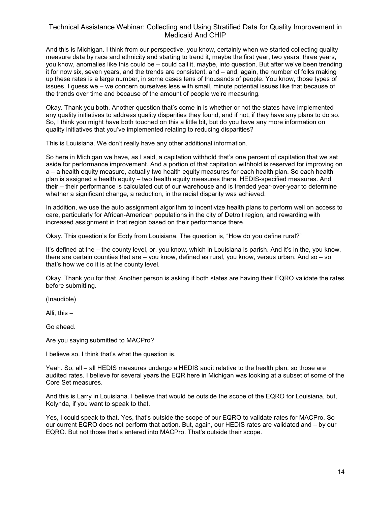And this is Michigan. I think from our perspective, you know, certainly when we started collecting quality measure data by race and ethnicity and starting to trend it, maybe the first year, two years, three years, you know, anomalies like this could be – could call it, maybe, into question. But after we've been trending it for now six, seven years, and the trends are consistent, and – and, again, the number of folks making up these rates is a large number, in some cases tens of thousands of people. You know, those types of issues, I guess we – we concern ourselves less with small, minute potential issues like that because of the trends over time and because of the amount of people we're measuring.

Okay. Thank you both. Another question that's come in is whether or not the states have implemented any quality initiatives to address quality disparities they found, and if not, if they have any plans to do so. So, I think you might have both touched on this a little bit, but do you have any more information on quality initiatives that you've implemented relating to reducing disparities?

This is Louisiana. We don't really have any other additional information.

So here in Michigan we have, as I said, a capitation withhold that's one percent of capitation that we set aside for performance improvement. And a portion of that capitation withhold is reserved for improving on a – a health equity measure, actually two health equity measures for each health plan. So each health plan is assigned a health equity – two health equity measures there. HEDIS-specified measures. And their – their performance is calculated out of our warehouse and is trended year-over-year to determine whether a significant change, a reduction, in the racial disparity was achieved.

In addition, we use the auto assignment algorithm to incentivize health plans to perform well on access to care, particularly for African-American populations in the city of Detroit region, and rewarding with increased assignment in that region based on their performance there.

Okay. This question's for Eddy from Louisiana. The question is, "How do you define rural?"

It's defined at the – the county level, or, you know, which in Louisiana is parish. And it's in the, you know, there are certain counties that are – you know, defined as rural, you know, versus urban. And so – so that's how we do it is at the county level.

Okay. Thank you for that. Another person is asking if both states are having their EQRO validate the rates before submitting.

(Inaudible)

Alli, this –

Go ahead.

Are you saying submitted to MACPro?

I believe so. I think that's what the question is.

Yeah. So, all – all HEDIS measures undergo a HEDIS audit relative to the health plan, so those are audited rates. I believe for several years the EQR here in Michigan was looking at a subset of some of the Core Set measures.

And this is Larry in Louisiana. I believe that would be outside the scope of the EQRO for Louisiana, but, Kolynda, if you want to speak to that.

Yes, I could speak to that. Yes, that's outside the scope of our EQRO to validate rates for MACPro. So our current EQRO does not perform that action. But, again, our HEDIS rates are validated and – by our EQRO. But not those that's entered into MACPro. That's outside their scope.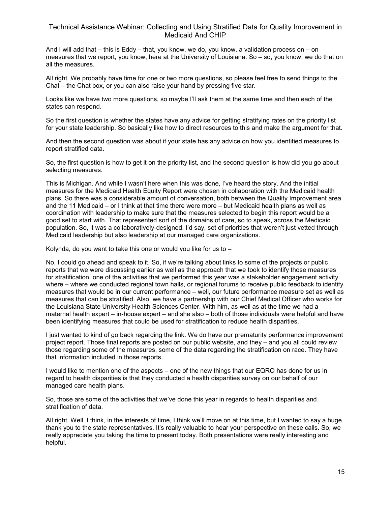And I will add that – this is Eddy – that, you know, we do, you know, a validation process on – on measures that we report, you know, here at the University of Louisiana. So – so, you know, we do that on all the measures.

All right. We probably have time for one or two more questions, so please feel free to send things to the Chat – the Chat box, or you can also raise your hand by pressing five star.

Looks like we have two more questions, so maybe I'll ask them at the same time and then each of the states can respond.

So the first question is whether the states have any advice for getting stratifying rates on the priority list for your state leadership. So basically like how to direct resources to this and make the argument for that.

And then the second question was about if your state has any advice on how you identified measures to report stratified data.

So, the first question is how to get it on the priority list, and the second question is how did you go about selecting measures.

This is Michigan. And while I wasn't here when this was done, I've heard the story. And the initial measures for the Medicaid Health Equity Report were chosen in collaboration with the Medicaid health plans. So there was a considerable amount of conversation, both between the Quality Improvement area and the 11 Medicaid – or I think at that time there were more – but Medicaid health plans as well as coordination with leadership to make sure that the measures selected to begin this report would be a good set to start with. That represented sort of the domains of care, so to speak, across the Medicaid population. So, it was a collaboratively-designed, I'd say, set of priorities that weren't just vetted through Medicaid leadership but also leadership at our managed care organizations.

Kolynda, do you want to take this one or would you like for us to  $-$ 

No, I could go ahead and speak to it. So, if we're talking about links to some of the projects or public reports that we were discussing earlier as well as the approach that we took to identify those measures for stratification, one of the activities that we performed this year was a stakeholder engagement activity where – where we conducted regional town halls, or regional forums to receive public feedback to identify measures that would be in our current performance – well, our future performance measure set as well as measures that can be stratified. Also, we have a partnership with our Chief Medical Officer who works for the Louisiana State University Health Sciences Center. With him, as well as at the time we had a maternal health expert – in-house expert – and she also – both of those individuals were helpful and have been identifying measures that could be used for stratification to reduce health disparities.

I just wanted to kind of go back regarding the link. We do have our prematurity performance improvement project report. Those final reports are posted on our public website, and they – and you all could review those regarding some of the measures, some of the data regarding the stratification on race. They have that information included in those reports.

I would like to mention one of the aspects – one of the new things that our EQRO has done for us in regard to health disparities is that they conducted a health disparities survey on our behalf of our managed care health plans.

So, those are some of the activities that we've done this year in regards to health disparities and stratification of data.

All right. Well, I think, in the interests of time, I think we'll move on at this time, but I wanted to say a huge thank you to the state representatives. It's really valuable to hear your perspective on these calls. So, we really appreciate you taking the time to present today. Both presentations were really interesting and helpful.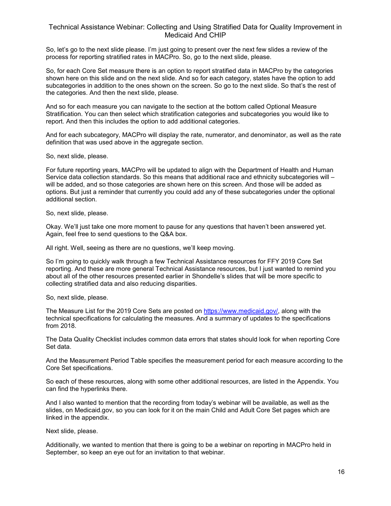So, let's go to the next slide please. I'm just going to present over the next few slides a review of the process for reporting stratified rates in MACPro. So, go to the next slide, please.

So, for each Core Set measure there is an option to report stratified data in MACPro by the categories shown here on this slide and on the next slide. And so for each category, states have the option to add subcategories in addition to the ones shown on the screen. So go to the next slide. So that's the rest of the categories. And then the next slide, please.

And so for each measure you can navigate to the section at the bottom called Optional Measure Stratification. You can then select which stratification categories and subcategories you would like to report. And then this includes the option to add additional categories.

And for each subcategory, MACPro will display the rate, numerator, and denominator, as well as the rate definition that was used above in the aggregate section.

So, next slide, please.

For future reporting years, MACPro will be updated to align with the Department of Health and Human Service data collection standards. So this means that additional race and ethnicity subcategories will – will be added, and so those categories are shown here on this screen. And those will be added as options. But just a reminder that currently you could add any of these subcategories under the optional additional section.

So, next slide, please.

Okay. We'll just take one more moment to pause for any questions that haven't been answered yet. Again, feel free to send questions to the Q&A box.

All right. Well, seeing as there are no questions, we'll keep moving.

So I'm going to quickly walk through a few Technical Assistance resources for FFY 2019 Core Set reporting. And these are more general Technical Assistance resources, but I just wanted to remind you about all of the other resources presented earlier in Shondelle's slides that will be more specific to collecting stratified data and also reducing disparities.

So, next slide, please.

The Measure List for the 2019 Core Sets are posted on [https://www.medicaid.gov/,](https://www.medicaid.gov/) along with the technical specifications for calculating the measures. And a summary of updates to the specifications from 2018.

The Data Quality Checklist includes common data errors that states should look for when reporting Core Set data.

And the Measurement Period Table specifies the measurement period for each measure according to the Core Set specifications.

So each of these resources, along with some other additional resources, are listed in the Appendix. You can find the hyperlinks there.

And I also wanted to mention that the recording from today's webinar will be available, as well as the slides, on Medicaid.gov, so you can look for it on the main Child and Adult Core Set pages which are linked in the appendix.

Next slide, please.

Additionally, we wanted to mention that there is going to be a webinar on reporting in MACPro held in September, so keep an eye out for an invitation to that webinar.